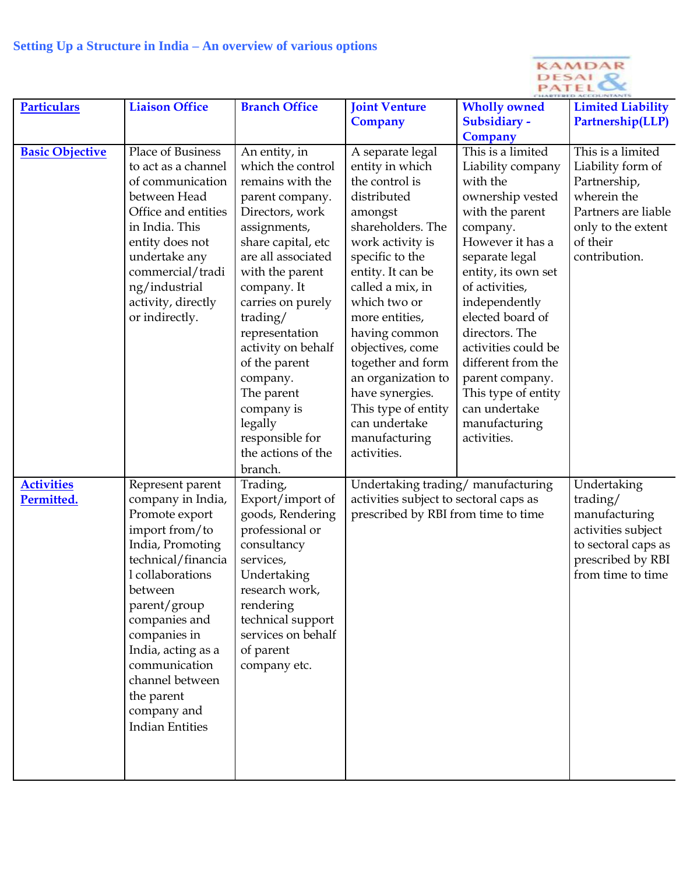

| <b>Particulars</b>     | <b>Liaison Office</b>                    | <b>Branch Office</b>               | <b>Joint Venture</b>                   | <b>Wholly owned</b>          | <b>Limited Liability</b> |
|------------------------|------------------------------------------|------------------------------------|----------------------------------------|------------------------------|--------------------------|
|                        |                                          |                                    | Company                                | Subsidiary -                 | Partnership(LLP)         |
|                        |                                          |                                    |                                        | Company<br>This is a limited | This is a limited        |
| <b>Basic Objective</b> | Place of Business<br>to act as a channel | An entity, in<br>which the control | A separate legal<br>entity in which    | Liability company            | Liability form of        |
|                        | of communication                         | remains with the                   | the control is                         | with the                     | Partnership,             |
|                        | between Head                             | parent company.                    | distributed                            | ownership vested             | wherein the              |
|                        | Office and entities                      | Directors, work                    | amongst                                | with the parent              | Partners are liable      |
|                        | in India. This                           | assignments,                       | shareholders. The                      | company.                     | only to the extent       |
|                        | entity does not                          | share capital, etc                 | work activity is                       | However it has a             | of their                 |
|                        | undertake any                            | are all associated                 | specific to the                        | separate legal               | contribution.            |
|                        | commercial/tradi                         | with the parent                    | entity. It can be                      | entity, its own set          |                          |
|                        | ng/industrial                            | company. It                        | called a mix, in                       | of activities,               |                          |
|                        | activity, directly                       | carries on purely                  | which two or                           | independently                |                          |
|                        | or indirectly.                           | trading/                           | more entities,                         | elected board of             |                          |
|                        |                                          | representation                     | having common                          | directors. The               |                          |
|                        |                                          | activity on behalf                 | objectives, come                       | activities could be          |                          |
|                        |                                          | of the parent                      | together and form                      | different from the           |                          |
|                        |                                          | company.                           | an organization to                     | parent company.              |                          |
|                        |                                          | The parent                         | have synergies.                        | This type of entity          |                          |
|                        |                                          | company is                         | This type of entity                    | can undertake                |                          |
|                        |                                          | legally                            | can undertake                          | manufacturing                |                          |
|                        |                                          | responsible for                    | manufacturing                          | activities.                  |                          |
|                        |                                          | the actions of the                 | activities.                            |                              |                          |
|                        |                                          | branch.                            |                                        |                              |                          |
| <b>Activities</b>      | Represent parent<br>company in India,    | Trading,<br>Export/import of       | Undertaking trading/ manufacturing     |                              | Undertaking<br>trading/  |
| Permitted.             | Promote export                           | goods, Rendering                   | activities subject to sectoral caps as |                              | manufacturing            |
|                        | import from/to                           | professional or                    | prescribed by RBI from time to time    |                              | activities subject       |
|                        | India, Promoting                         | consultancy                        |                                        |                              | to sectoral caps as      |
|                        | technical/financia                       | services,                          |                                        |                              | prescribed by RBI        |
|                        | l collaborations                         | Undertaking                        |                                        |                              | from time to time        |
|                        | between                                  | research work,                     |                                        |                              |                          |
|                        | parent/group                             | rendering                          |                                        |                              |                          |
|                        | companies and                            | technical support                  |                                        |                              |                          |
|                        | companies in                             | services on behalf                 |                                        |                              |                          |
|                        | India, acting as a                       | of parent                          |                                        |                              |                          |
|                        | communication                            | company etc.                       |                                        |                              |                          |
|                        | channel between                          |                                    |                                        |                              |                          |
|                        | the parent                               |                                    |                                        |                              |                          |
|                        | company and                              |                                    |                                        |                              |                          |
|                        | <b>Indian Entities</b>                   |                                    |                                        |                              |                          |
|                        |                                          |                                    |                                        |                              |                          |
|                        |                                          |                                    |                                        |                              |                          |
|                        |                                          |                                    |                                        |                              |                          |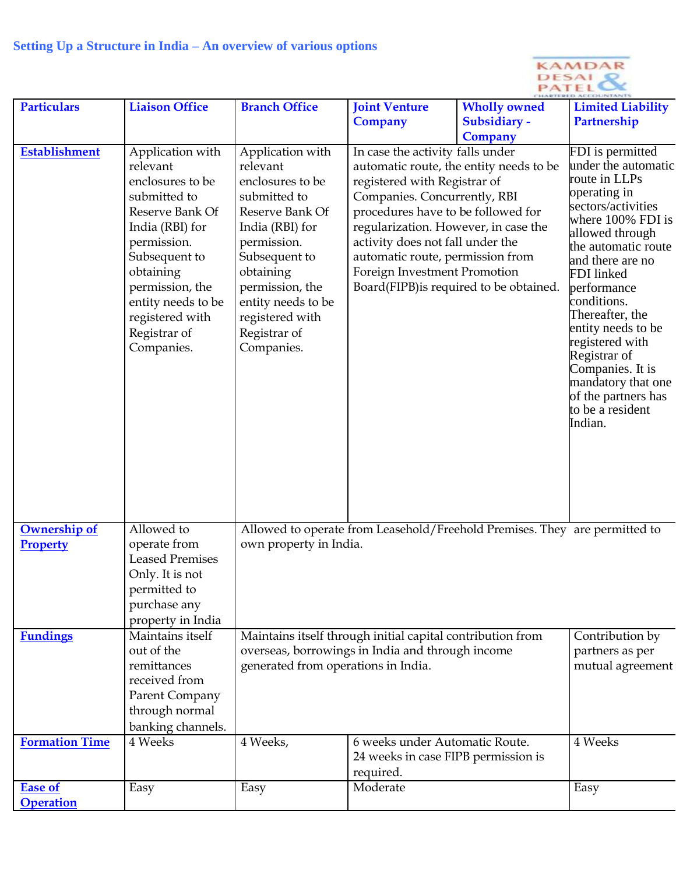|                                    |                                                                                                                                                                                                                                               |                                                                                                                                                                                                                                               | KAMDAR<br>DESAI                                                                                                                                                                                                                                                                                                                   |                                                |                                                                                                                                                                                                                                                                                                                                                                                                           |  |
|------------------------------------|-----------------------------------------------------------------------------------------------------------------------------------------------------------------------------------------------------------------------------------------------|-----------------------------------------------------------------------------------------------------------------------------------------------------------------------------------------------------------------------------------------------|-----------------------------------------------------------------------------------------------------------------------------------------------------------------------------------------------------------------------------------------------------------------------------------------------------------------------------------|------------------------------------------------|-----------------------------------------------------------------------------------------------------------------------------------------------------------------------------------------------------------------------------------------------------------------------------------------------------------------------------------------------------------------------------------------------------------|--|
| <b>Particulars</b>                 | <b>Liaison Office</b>                                                                                                                                                                                                                         | <b>Branch Office</b>                                                                                                                                                                                                                          | <b>Joint Venture</b><br><b>Company</b>                                                                                                                                                                                                                                                                                            | <b>Wholly owned</b><br>Subsidiary -<br>Company | <b>Limited Liability</b><br>Partnership                                                                                                                                                                                                                                                                                                                                                                   |  |
| <b>Establishment</b>               | Application with<br>relevant<br>enclosures to be<br>submitted to<br>Reserve Bank Of<br>India (RBI) for<br>permission.<br>Subsequent to<br>obtaining<br>permission, the<br>entity needs to be<br>registered with<br>Registrar of<br>Companies. | Application with<br>relevant<br>enclosures to be<br>submitted to<br>Reserve Bank Of<br>India (RBI) for<br>permission.<br>Subsequent to<br>obtaining<br>permission, the<br>entity needs to be<br>registered with<br>Registrar of<br>Companies. | In case the activity falls under<br>automatic route, the entity needs to be<br>registered with Registrar of<br>Companies. Concurrently, RBI<br>procedures have to be followed for<br>regularization. However, in case the<br>activity does not fall under the<br>automatic route, permission from<br>Foreign Investment Promotion | Board(FIPB) is required to be obtained.        | FDI is permitted<br>under the automatic<br>route in LLPs<br>operating in<br>sectors/activities<br>where 100% FDI is<br>allowed through<br>the automatic route<br>and there are no<br>FDI linked<br>performance<br>conditions.<br>Thereafter, the<br>entity needs to be<br>registered with<br>Registrar of<br>Companies. It is<br>mandatory that one<br>of the partners has<br>to be a resident<br>Indian. |  |
| Ownership of<br><b>Property</b>    | Allowed to<br>operate from<br><b>Leased Premises</b><br>Only. It is not<br>permitted to<br>purchase any<br>property in India                                                                                                                  | Allowed to operate from Leasehold/Freehold Premises. They are permitted to<br>own property in India.                                                                                                                                          |                                                                                                                                                                                                                                                                                                                                   |                                                |                                                                                                                                                                                                                                                                                                                                                                                                           |  |
| <b>Fundings</b>                    | Maintains itself<br>out of the<br>remittances<br>received from<br>Parent Company<br>through normal<br>banking channels.                                                                                                                       | Maintains itself through initial capital contribution from<br>overseas, borrowings in India and through income<br>generated from operations in India.                                                                                         |                                                                                                                                                                                                                                                                                                                                   |                                                | Contribution by<br>partners as per<br>mutual agreement                                                                                                                                                                                                                                                                                                                                                    |  |
| <b>Formation Time</b>              | 4 Weeks                                                                                                                                                                                                                                       | 4 Weeks,                                                                                                                                                                                                                                      | 6 weeks under Automatic Route.<br>24 weeks in case FIPB permission is<br>required.                                                                                                                                                                                                                                                |                                                | 4 Weeks                                                                                                                                                                                                                                                                                                                                                                                                   |  |
| <b>Ease of</b><br><b>Operation</b> | Easy                                                                                                                                                                                                                                          | Easy                                                                                                                                                                                                                                          | Moderate                                                                                                                                                                                                                                                                                                                          |                                                | Easy                                                                                                                                                                                                                                                                                                                                                                                                      |  |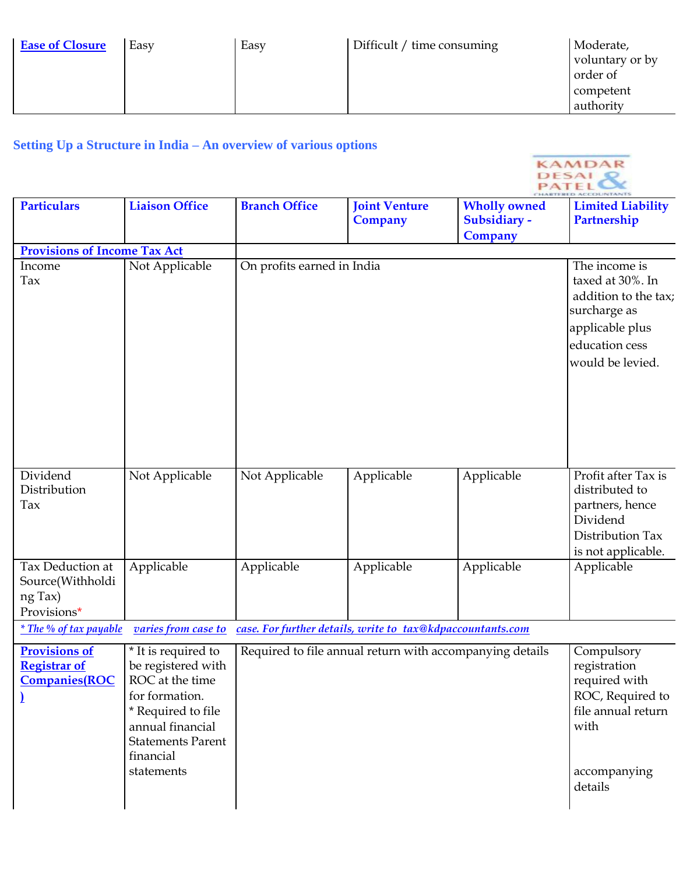| <b>Ease of Closure</b> | Easy | Easy | Difficult / time consuming | Moderate,<br>voluntary or by<br>order of |
|------------------------|------|------|----------------------------|------------------------------------------|
|                        |      |      |                            | competent<br>authority                   |

KAMDAR

# **Setting Up a Structure in India – An overview of various options**

|                                                                      |                                                                                                                                                                                 |                            |                                                            |                                                       | <b>DESAL</b><br><b>PATEL</b>                                                                                                       |
|----------------------------------------------------------------------|---------------------------------------------------------------------------------------------------------------------------------------------------------------------------------|----------------------------|------------------------------------------------------------|-------------------------------------------------------|------------------------------------------------------------------------------------------------------------------------------------|
| <b>Particulars</b>                                                   | <b>Liaison Office</b>                                                                                                                                                           | <b>Branch Office</b>       | <b>Joint Venture</b><br><b>Company</b>                     | <b>Wholly owned</b><br>Subsidiary -<br><b>Company</b> | <b>Limited Liability</b><br>Partnership                                                                                            |
| <b>Provisions of Income Tax Act</b>                                  |                                                                                                                                                                                 |                            |                                                            |                                                       |                                                                                                                                    |
| Income<br>Tax                                                        | Not Applicable                                                                                                                                                                  | On profits earned in India |                                                            |                                                       | The income is<br>taxed at 30%. In<br>addition to the tax;<br>surcharge as<br>applicable plus<br>education cess<br>would be levied. |
| Dividend<br>Distribution<br>Tax                                      | Not Applicable                                                                                                                                                                  | Not Applicable             | Applicable                                                 | Applicable                                            | Profit after Tax is<br>distributed to<br>partners, hence<br>Dividend<br>Distribution Tax<br>is not applicable.                     |
| Tax Deduction at<br>Source(Withholdi<br>ng Tax)<br>Provisions*       | Applicable                                                                                                                                                                      | Applicable                 | Applicable                                                 | Applicable                                            | Applicable                                                                                                                         |
| <i><u>* The % of tax payable</u></i>                                 | varies from case to                                                                                                                                                             |                            | case. For further details, write to tax@kdpaccountants.com |                                                       |                                                                                                                                    |
| <b>Provisions of</b><br><b>Registrar of</b><br><b>Companies</b> (ROC | * It is required to<br>be registered with<br>ROC at the time<br>for formation.<br>* Required to file<br>annual financial<br><b>Statements Parent</b><br>financial<br>statements |                            | Required to file annual return with accompanying details   |                                                       | Compulsory<br>registration<br>required with<br>ROC, Required to<br>file annual return<br>with<br>accompanying<br>details           |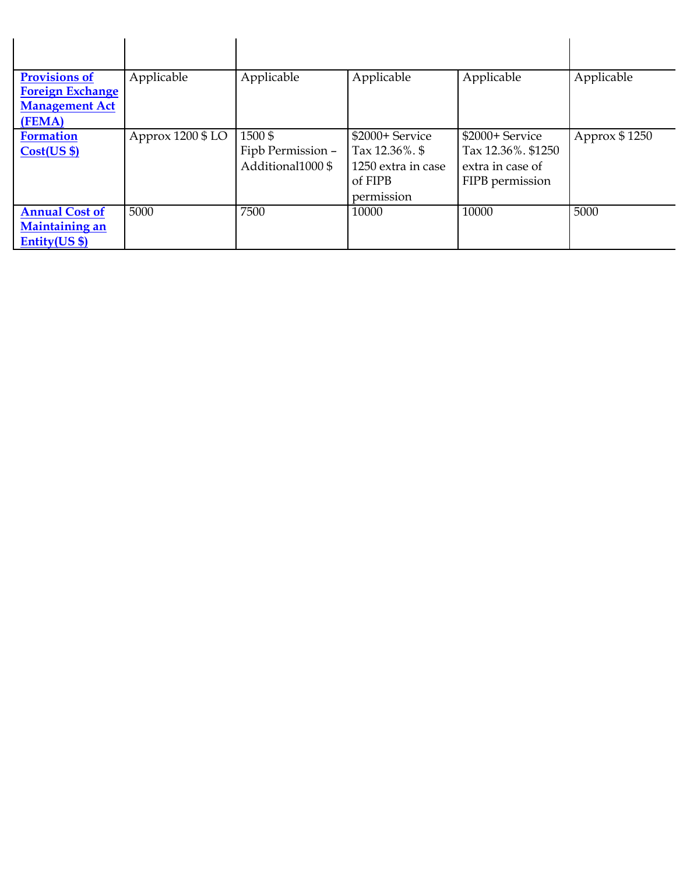| <b>Provisions of</b><br><b>Foreign Exchange</b><br><b>Management Act</b><br>(FEMA) | Applicable        | Applicable                                       | Applicable                                                                           | Applicable                                                                   | Applicable    |
|------------------------------------------------------------------------------------|-------------------|--------------------------------------------------|--------------------------------------------------------------------------------------|------------------------------------------------------------------------------|---------------|
| <b>Formation</b><br>Cost(US \$)                                                    | Approx 1200 \$ LO | 1500\$<br>Fipb Permission -<br>Additional1000 \$ | \$2000+ Service<br>Tax $12.36\%$ . \$<br>1250 extra in case<br>of FIPB<br>permission | \$2000+ Service<br>Tax 12.36%. \$1250<br>extra in case of<br>FIPB permission | Approx \$1250 |
| <b>Annual Cost of</b><br><b>Maintaining an</b><br>$Entity(US $)$                   | 5000              | 7500                                             | 10000                                                                                | 10000                                                                        | 5000          |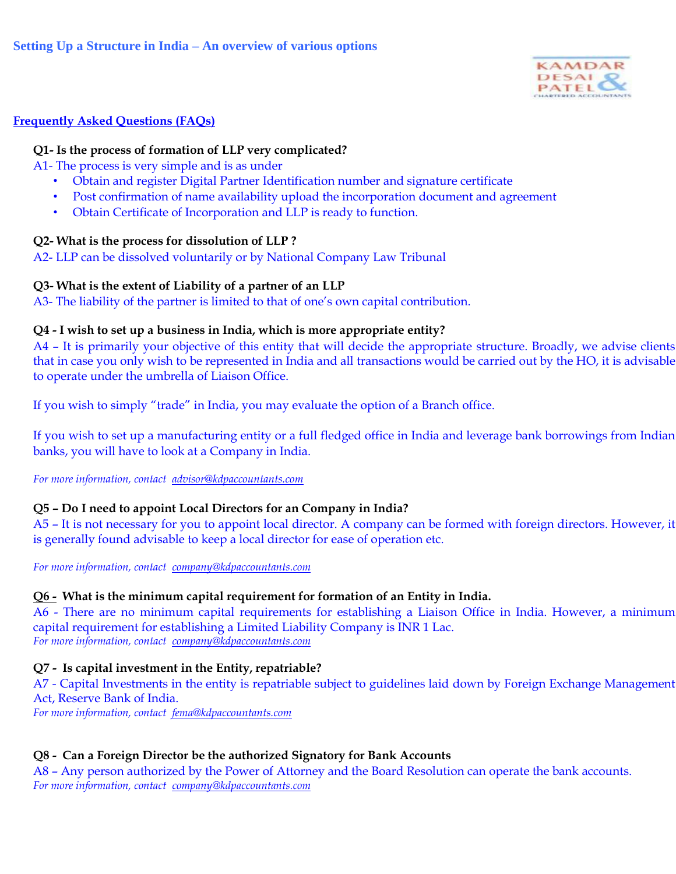

# **Frequently Asked Questions (FAQs)**

# **Q1- Is the process of formation of LLP very complicated?**

A1- The process is very simple and is as under

- Obtain and register Digital Partner Identification number and signature certificate
- Post confirmation of name availability upload the incorporation document and agreement
- Obtain Certificate of Incorporation and LLP is ready to function.

# **Q2- What is the process for dissolution of LLP ?**

A2- LLP can be dissolved voluntarily or by National Company Law Tribunal

# **Q3- What is the extent of Liability of a partner of an LLP**

A3- The liability of the partner is limited to that of one's own capital contribution.

### **Q4 - I wish to set up a business in India, which is more appropriate entity?**

A4 – It is primarily your objective of this entity that will decide the appropriate structure. Broadly, we advise clients that in case you only wish to be represented in India and all transactions would be carried out by the HO, it is advisable to operate under the umbrella of Liaison Office.

If you wish to simply "trade" in India, you may evaluate the option of a Branch office.

If you wish to set up a manufacturing entity or a full fledged office in India and leverage bank borrowings from Indian banks, you will have to look at a Company in India.

*For more information, contact [advisor@kdpaccountants.com](mailto:advisor@kdpaccountants.com)*

# **Q5 – Do I need to appoint Local Directors for an Company in India?**

A5 – It is not necessary for you to appoint local director. A company can be formed with foreign directors. However, it is generally found advisable to keep a local director for ease of operation etc.

*For more information, contact [company@kdpaccountants.com](mailto:company@kdpaccountants.com)*

### **Q6 - What is the minimum capital requirement for formation of an Entity in India.**

A6 - There are no minimum capital requirements for establishing a Liaison Office in India. However, a minimum capital requirement for establishing a Limited Liability Company is INR 1 Lac. *For more information, contact [company@kdpaccountants.com](mailto:company@kdpaccountants.com)*

# **Q7 - Is capital investment in the Entity, repatriable?**

A7 - Capital Investments in the entity is repatriable subject to guidelines laid down by Foreign Exchange Management Act, Reserve Bank of India.

*For more information, contact [fema@kdpaccountants.com](mailto:company@kdpaccountants.com)*

# **Q8 - Can a Foreign Director be the authorized Signatory for Bank Accounts**

A8 – Any person authorized by the Power of Attorney and the Board Resolution can operate the bank accounts. *For more information, contact [company@kdpaccountants.com](mailto:company@kdpaccountants.com)*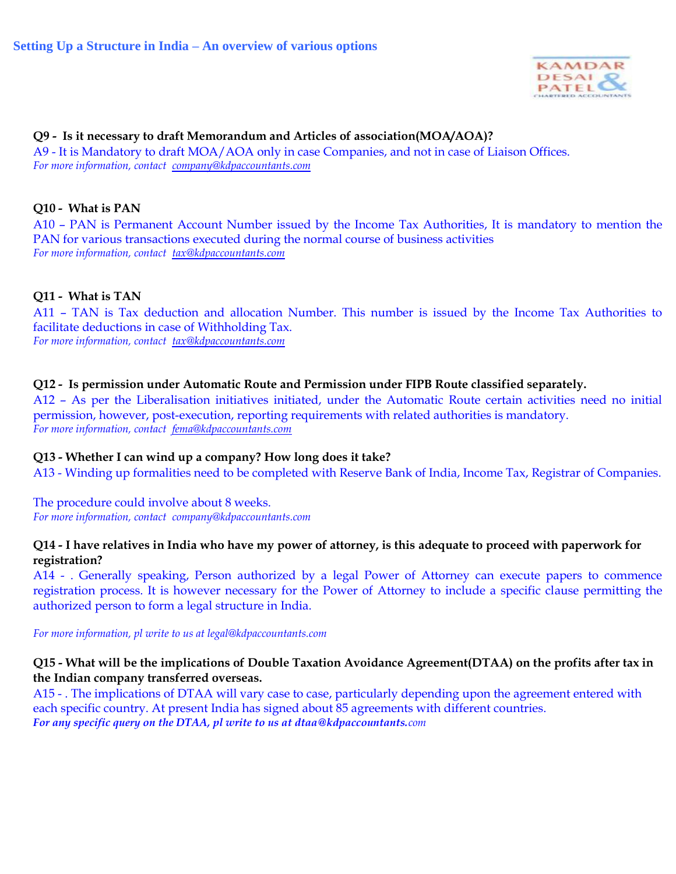

# **Q9 - Is it necessary to draft Memorandum and Articles of association(MOA/AOA)?**

A9 - It is Mandatory to draft MOA/AOA only in case Companies, and not in case of Liaison Offices. *For more information, contact [company@kdpaccountants.com](mailto:company@kdpaccountants.com)*

# **Q10 - What is PAN**

A10 – PAN is Permanent Account Number issued by the Income Tax Authorities, It is mandatory to mention the PAN for various transactions executed during the normal course of business activities *For more information, contact [tax@kdpaccountants.com](mailto:company@kdpaccountants.com)*

### **Q11 - What is TAN**

A11 – TAN is Tax deduction and allocation Number. This number is issued by the Income Tax Authorities to facilitate deductions in case of Withholding Tax. *For more information, contact [tax@kdpaccountants.com](mailto:tax@kdpaccountants.com)*

### **Q12 - Is permission under Automatic Route and Permission under FIPB Route classified separately.**

A12 – As per the Liberalisation initiatives initiated, under the Automatic Route certain activities need no initial permission, however, post-execution, reporting requirements with related authorities is mandatory. *For more information, contact [fema@kdpaccountants.com](mailto:fema@kdpaccountants.com)*

### **Q13 - Whether I can wind up a company? How long does it take?**

A13 - Winding up formalities need to be completed with Reserve Bank of India, Income Tax, Registrar of Companies.

The procedure could involve about 8 weeks. *For more information, contact [company@kdpaccountants.com](mailto:company@kdpaccountants.com)*

### **Q14 - I have relatives in India who have my power of attorney, is this adequate to proceed with paperwork for registration?**

A14 - . Generally speaking, Person authorized by a legal Power of Attorney can execute papers to commence registration process. It is however necessary for the Power of Attorney to include a specific clause permitting the authorized person to form a legal structure in India.

*For more information, pl write to us at legal@kdpaccountants.com*

### **Q15 - What will be the implications of Double Taxation Avoidance Agreement(DTAA) on the profits after tax in the Indian company transferred overseas.**

A15 - . The implications of DTAA will vary case to case, particularly depending upon the agreement entered with each specific country. At present India has signed about 85 agreements with different countries. *For any specific query on the DTAA, pl write to us at dtaa@kdpaccountants.com*